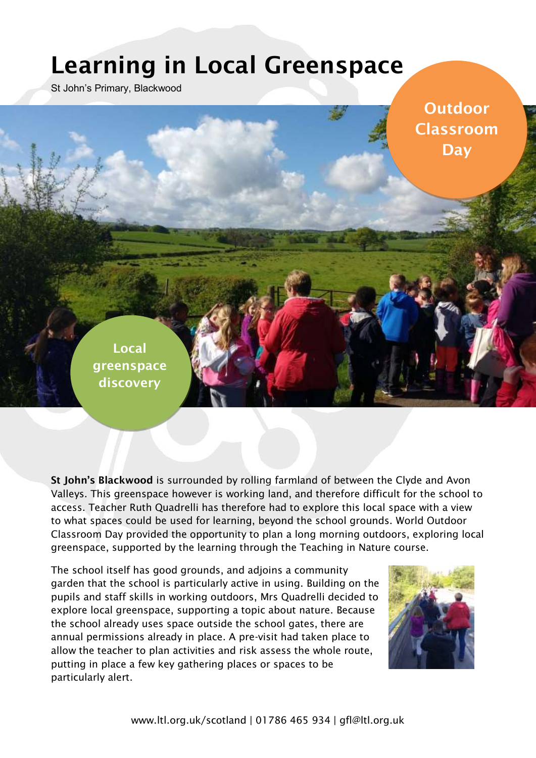## **Learning in Local Greenspace**

St John's Primary, Blackwood

**Outdoor Classroom Day**

**Local greenspace discovery** 

**St John's Blackwood** is surrounded by rolling farmland of between the Clyde and Avon Valleys. This greenspace however is working land, and therefore difficult for the school to access. Teacher Ruth Quadrelli has therefore had to explore this local space with a view to what spaces could be used for learning, beyond the school grounds. World Outdoor Classroom Day provided the opportunity to plan a long morning outdoors, exploring local greenspace, supported by the learning through the Teaching in Nature course.

The school itself has good grounds, and adjoins a community garden that the school is particularly active in using. Building on the pupils and staff skills in working outdoors, Mrs Quadrelli decided to explore local greenspace, supporting a topic about nature. Because the school already uses space outside the school gates, there are annual permissions already in place. A pre-visit had taken place to allow the teacher to plan activities and risk assess the whole route, putting in place a few key gathering places or spaces to be particularly alert.

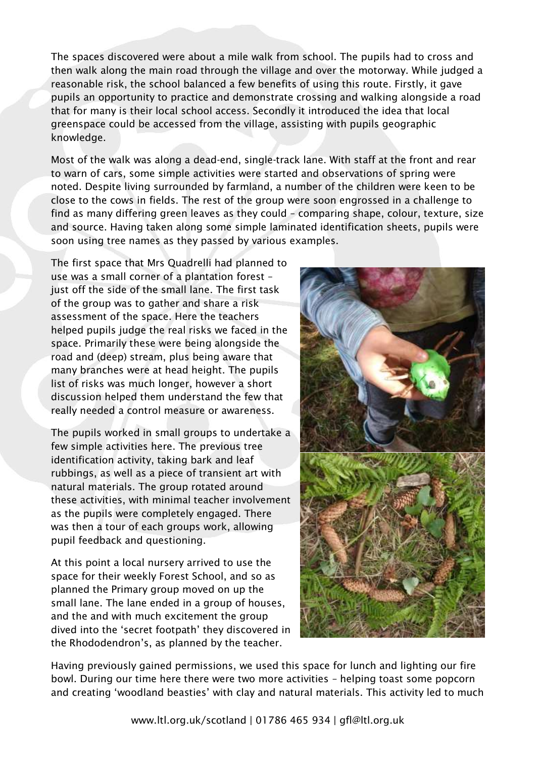The spaces discovered were about a mile walk from school. The pupils had to cross and then walk along the main road through the village and over the motorway. While judged a reasonable risk, the school balanced a few benefits of using this route. Firstly, it gave pupils an opportunity to practice and demonstrate crossing and walking alongside a road that for many is their local school access. Secondly it introduced the idea that local greenspace could be accessed from the village, assisting with pupils geographic knowledge.

Most of the walk was along a dead-end, single-track lane. With staff at the front and rear to warn of cars, some simple activities were started and observations of spring were noted. Despite living surrounded by farmland, a number of the children were keen to be close to the cows in fields. The rest of the group were soon engrossed in a challenge to find as many differing green leaves as they could – comparing shape, colour, texture, size and source. Having taken along some simple laminated identification sheets, pupils were soon using tree names as they passed by various examples.

The first space that Mrs Quadrelli had planned to use was a small corner of a plantation forest – just off the side of the small lane. The first task of the group was to gather and share a risk assessment of the space. Here the teachers helped pupils judge the real risks we faced in the space. Primarily these were being alongside the road and (deep) stream, plus being aware that many branches were at head height. The pupils list of risks was much longer, however a short discussion helped them understand the few that really needed a control measure or awareness.

The pupils worked in small groups to undertake a few simple activities here. The previous tree identification activity, taking bark and leaf rubbings, as well as a piece of transient art with natural materials. The group rotated around these activities, with minimal teacher involvement as the pupils were completely engaged. There was then a tour of each groups work, allowing pupil feedback and questioning.

At this point a local nursery arrived to use the space for their weekly Forest School, and so as planned the Primary group moved on up the small lane. The lane ended in a group of houses, and the and with much excitement the group dived into the 'secret footpath' they discovered in the Rhododendron's, as planned by the teacher.



Having previously gained permissions, we used this space for lunch and lighting our fire bowl. During our time here there were two more activities – helping toast some popcorn and creating 'woodland beasties' with clay and natural materials. This activity led to much

[www.ltl.org.uk/scotland](http://www.ltl.org.uk/scotland) | 01786 465 934 | [gfl@ltl.org.uk](mailto:gfl@ltl.org.uk)